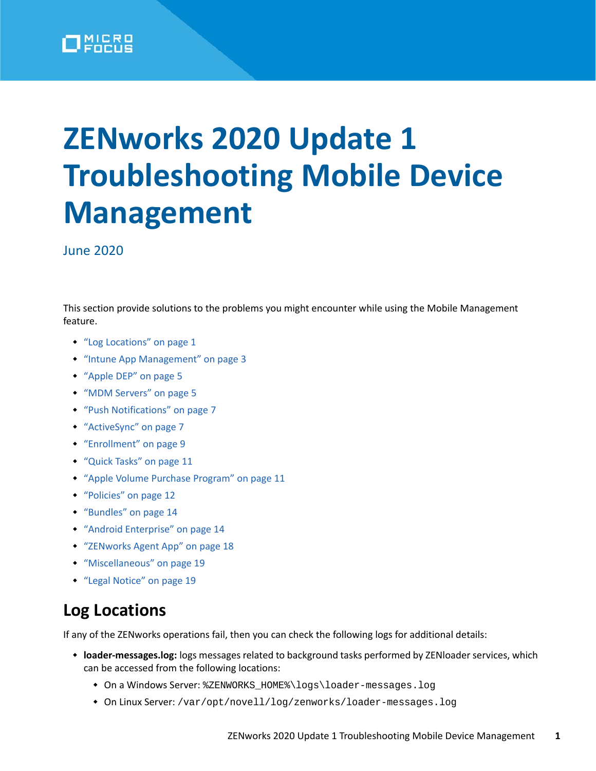

# **ZENworks 2020 Update 1 Troubleshooting Mobile Device Management**

June 2020

This section provide solutions to the problems you might encounter while using the Mobile Management feature.

- ["Log Locations" on page 1](#page-0-0)
- ["Intune App Management" on page 3](#page-2-0)
- ["Apple DEP" on page 5](#page-4-0)
- ["MDM Servers" on page 5](#page-4-1)
- ["Push Notifications" on page 7](#page-6-0)
- ["ActiveSync" on page 7](#page-6-1)
- ["Enrollment" on page 9](#page-8-0)
- ["Quick Tasks" on page 11](#page-10-0)
- ["Apple Volume Purchase Program" on page 11](#page-10-1)
- ["Policies" on page 12](#page-11-0)
- ["Bundles" on page 14](#page-13-0)
- ["Android Enterprise" on page 14](#page-13-1)
- ["ZENworks Agent App" on page 18](#page-17-0)
- ["Miscellaneous" on page 19](#page-18-0)
- ["Legal Notice" on page 19](#page-18-1)

# <span id="page-0-0"></span>**Log Locations**

If any of the ZENworks operations fail, then you can check the following logs for additional details:

- **loader-messages.log:** logs messages related to background tasks performed by ZENloader services, which can be accessed from the following locations:
	- On a Windows Server: %ZENWORKS\_HOME%\logs\loader-messages.log
	- On Linux Server: /var/opt/novell/log/zenworks/loader-messages.log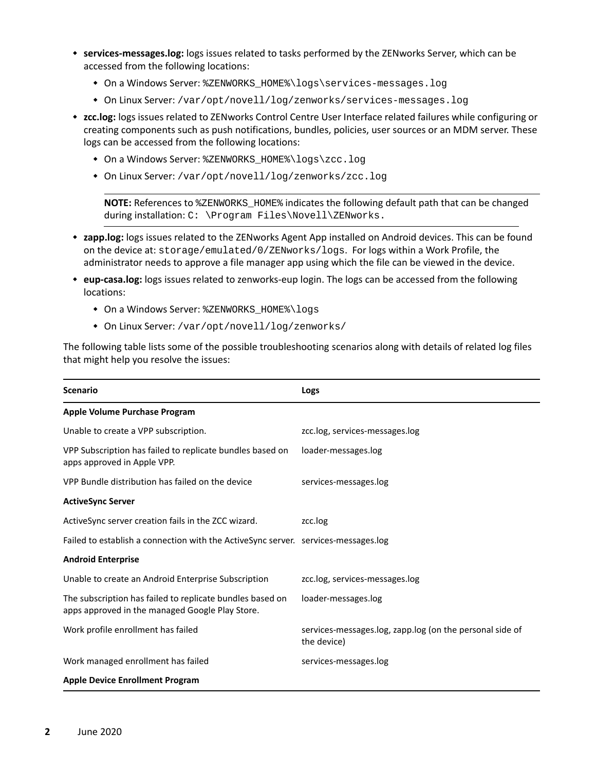- **services-messages.log:** logs issues related to tasks performed by the ZENworks Server, which can be accessed from the following locations:
	- On a Windows Server: %ZENWORKS\_HOME%\logs\services-messages.log
	- On Linux Server: /var/opt/novell/log/zenworks/services-messages.log
- **zcc.log:** logs issues related to ZENworks Control Centre User Interface related failures while configuring or creating components such as push notifications, bundles, policies, user sources or an MDM server. These logs can be accessed from the following locations:
	- On a Windows Server: %ZENWORKS\_HOME%\logs\zcc.log
	- On Linux Server: /var/opt/novell/log/zenworks/zcc.log

**NOTE:** References to %ZENWORKS\_HOME% indicates the following default path that can be changed during installation: C: \Program Files\Novell\ZENworks.

- **zapp.log:** logs issues related to the ZENworks Agent App installed on Android devices. This can be found on the device at: storage/emulated/0/ZENworks/logs. For logs within a Work Profile, the administrator needs to approve a file manager app using which the file can be viewed in the device.
- **eup-casa.log:** logs issues related to zenworks-eup login. The logs can be accessed from the following locations:
	- On a Windows Server: %ZENWORKS\_HOME%\logs
	- On Linux Server: /var/opt/novell/log/zenworks/

The following table lists some of the possible troubleshooting scenarios along with details of related log files that might help you resolve the issues:

| <b>Scenario</b>                                                                                              | Logs                                                                    |
|--------------------------------------------------------------------------------------------------------------|-------------------------------------------------------------------------|
| Apple Volume Purchase Program                                                                                |                                                                         |
| Unable to create a VPP subscription.                                                                         | zcc.log, services-messages.log                                          |
| VPP Subscription has failed to replicate bundles based on<br>apps approved in Apple VPP.                     | loader-messages.log                                                     |
| VPP Bundle distribution has failed on the device                                                             | services-messages.log                                                   |
| <b>ActiveSync Server</b>                                                                                     |                                                                         |
| Active Sync server creation fails in the ZCC wizard.                                                         | zcc.log                                                                 |
| Failed to establish a connection with the ActiveSync server. services-messages.log                           |                                                                         |
| <b>Android Enterprise</b>                                                                                    |                                                                         |
| Unable to create an Android Enterprise Subscription                                                          | zcc.log, services-messages.log                                          |
| The subscription has failed to replicate bundles based on<br>apps approved in the managed Google Play Store. | loader-messages.log                                                     |
| Work profile enrollment has failed                                                                           | services-messages.log, zapp.log (on the personal side of<br>the device) |
| Work managed enrollment has failed                                                                           | services-messages.log                                                   |
| <b>Apple Device Enrollment Program</b>                                                                       |                                                                         |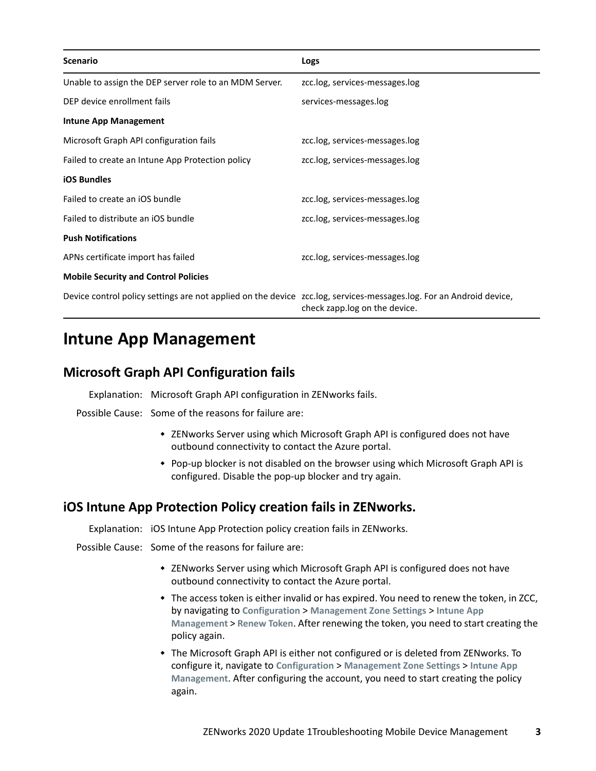| <b>Scenario</b>                                                                                                     | Logs                           |
|---------------------------------------------------------------------------------------------------------------------|--------------------------------|
| Unable to assign the DEP server role to an MDM Server.                                                              | zcc.log, services-messages.log |
| DEP device enrollment fails                                                                                         | services-messages.log          |
| <b>Intune App Management</b>                                                                                        |                                |
| Microsoft Graph API configuration fails                                                                             | zcc.log, services-messages.log |
| Failed to create an Intune App Protection policy                                                                    | zcc.log, services-messages.log |
| <b>iOS Bundles</b>                                                                                                  |                                |
| Failed to create an iOS bundle                                                                                      | zcc.log, services-messages.log |
| Failed to distribute an iOS bundle                                                                                  | zcc.log, services-messages.log |
| <b>Push Notifications</b>                                                                                           |                                |
| APNs certificate import has failed                                                                                  | zcc.log, services-messages.log |
| <b>Mobile Security and Control Policies</b>                                                                         |                                |
| Device control policy settings are not applied on the device zcc.log, services-messages.log. For an Android device, | check zapp.log on the device.  |

# <span id="page-2-0"></span>**Intune App Management**

#### **Microsoft Graph API Configuration fails**

Explanation: Microsoft Graph API configuration in ZENworks fails.

Possible Cause: Some of the reasons for failure are:

- ZENworks Server using which Microsoft Graph API is configured does not have outbound connectivity to contact the Azure portal.
- Pop-up blocker is not disabled on the browser using which Microsoft Graph API is configured. Disable the pop-up blocker and try again.

#### **iOS Intune App Protection Policy creation fails in ZENworks.**

Explanation: iOS Intune App Protection policy creation fails in ZENworks.

Possible Cause: Some of the reasons for failure are:

- ZENworks Server using which Microsoft Graph API is configured does not have outbound connectivity to contact the Azure portal.
- The access token is either invalid or has expired. You need to renew the token, in ZCC, by navigating to **Configuration** > **Management Zone Settings** > **Intune App Management** > **Renew Token**. After renewing the token, you need to start creating the policy again.
- The Microsoft Graph API is either not configured or is deleted from ZENworks. To configure it, navigate to **Configuration** > **Management Zone Settings** > **Intune App Management**. After configuring the account, you need to start creating the policy again.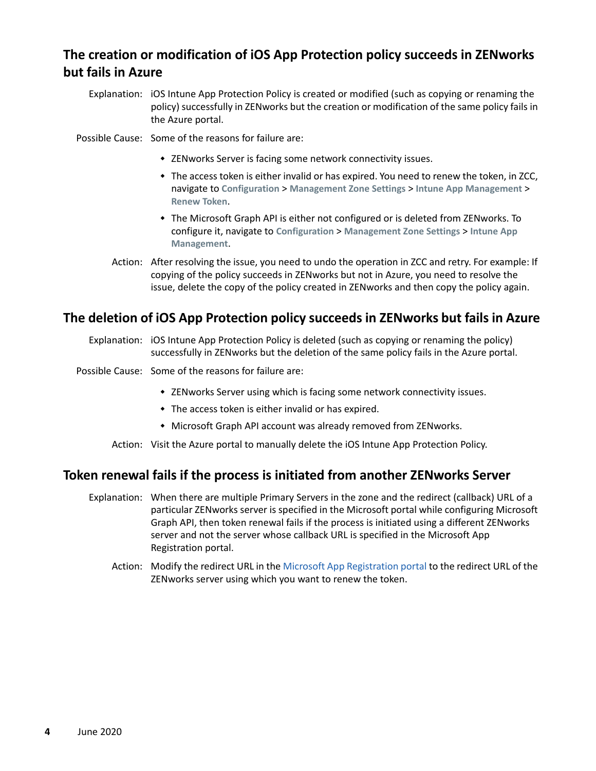## **The creation or modification of iOS App Protection policy succeeds in ZENworks but fails in Azure**

Explanation: iOS Intune App Protection Policy is created or modified (such as copying or renaming the policy) successfully in ZENworks but the creation or modification of the same policy fails in the Azure portal.

Possible Cause: Some of the reasons for failure are:

- ZENworks Server is facing some network connectivity issues.
- The access token is either invalid or has expired. You need to renew the token, in ZCC, navigate to **Configuration** > **Management Zone Settings** > **Intune App Management** > **Renew Token**.
- The Microsoft Graph API is either not configured or is deleted from ZENworks. To configure it, navigate to **Configuration** > **Management Zone Settings** > **Intune App Management**.
- Action: After resolving the issue, you need to undo the operation in ZCC and retry. For example: If copying of the policy succeeds in ZENworks but not in Azure, you need to resolve the issue, delete the copy of the policy created in ZENworks and then copy the policy again.

#### **The deletion of iOS App Protection policy succeeds in ZENworks but fails in Azure**

- Explanation: iOS Intune App Protection Policy is deleted (such as copying or renaming the policy) successfully in ZENworks but the deletion of the same policy fails in the Azure portal.
- Possible Cause: Some of the reasons for failure are:
	- ZENworks Server using which is facing some network connectivity issues.
	- The access token is either invalid or has expired.
	- Microsoft Graph API account was already removed from ZENworks.
	- Action: Visit the Azure portal to manually delete the iOS Intune App Protection Policy.

#### **Token renewal fails if the process is initiated from another ZENworks Server**

- Explanation: When there are multiple Primary Servers in the zone and the redirect (callback) URL of a particular ZENworks server is specified in the Microsoft portal while configuring Microsoft Graph API, then token renewal fails if the process is initiated using a different ZENworks server and not the server whose callback URL is specified in the Microsoft App Registration portal.
	- Action: Modify the redirect URL in the [Microsoft App Registration portal](https://apps.dev.microsoft.com) to the redirect URL of the ZENworks server using which you want to renew the token.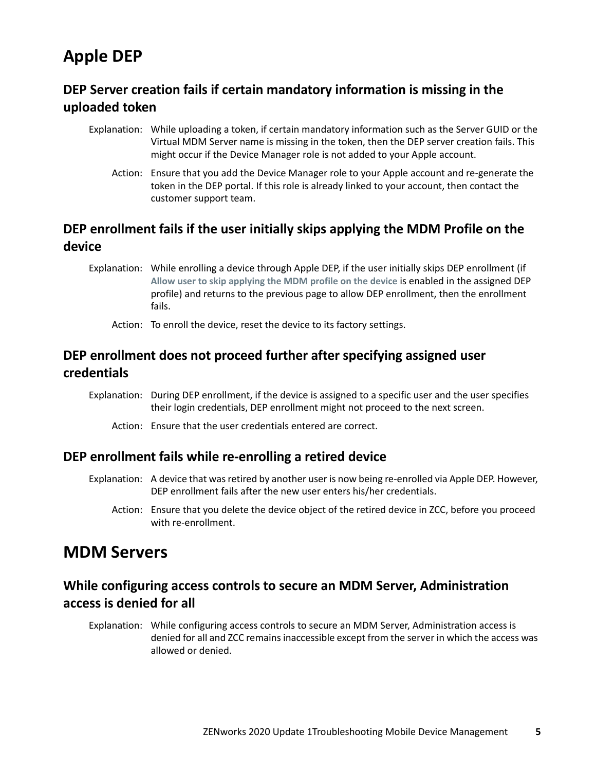# <span id="page-4-0"></span>**Apple DEP**

## **DEP Server creation fails if certain mandatory information is missing in the uploaded token**

- Explanation: While uploading a token, if certain mandatory information such as the Server GUID or the Virtual MDM Server name is missing in the token, then the DEP server creation fails. This might occur if the Device Manager role is not added to your Apple account.
	- Action: Ensure that you add the Device Manager role to your Apple account and re-generate the token in the DEP portal. If this role is already linked to your account, then contact the customer support team.

#### **DEP enrollment fails if the user initially skips applying the MDM Profile on the device**

Explanation: While enrolling a device through Apple DEP, if the user initially skips DEP enrollment (if **Allow user to skip applying the MDM profile on the device** is enabled in the assigned DEP profile) and returns to the previous page to allow DEP enrollment, then the enrollment fails.

Action: To enroll the device, reset the device to its factory settings.

#### **DEP enrollment does not proceed further after specifying assigned user credentials**

- Explanation: During DEP enrollment, if the device is assigned to a specific user and the user specifies their login credentials, DEP enrollment might not proceed to the next screen.
	- Action: Ensure that the user credentials entered are correct.

#### **DEP enrollment fails while re-enrolling a retired device**

- Explanation: A device that was retired by another user is now being re-enrolled via Apple DEP. However, DEP enrollment fails after the new user enters his/her credentials.
	- Action: Ensure that you delete the device object of the retired device in ZCC, before you proceed with re-enrollment.

## <span id="page-4-1"></span>**MDM Servers**

#### **While configuring access controls to secure an MDM Server, Administration access is denied for all**

Explanation: While configuring access controls to secure an MDM Server, Administration access is denied for all and ZCC remains inaccessible except from the server in which the access was allowed or denied.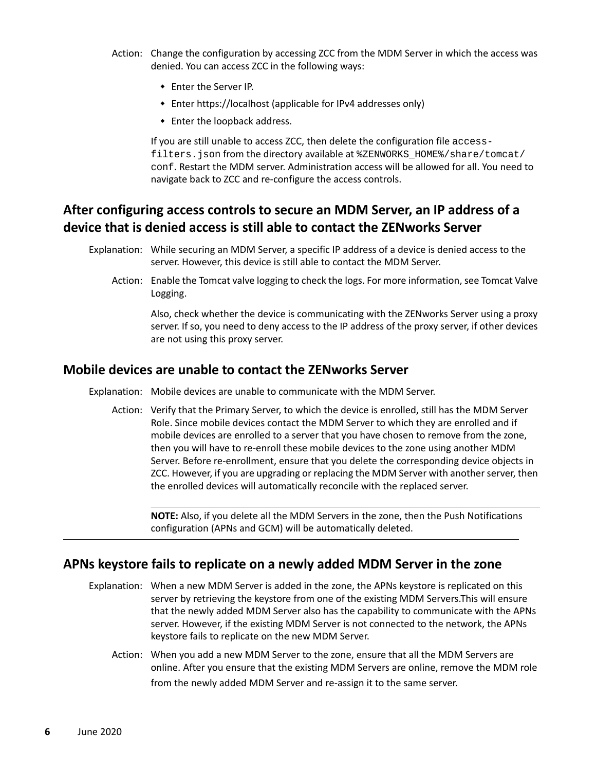- Action: Change the configuration by accessing ZCC from the MDM Server in which the access was denied. You can access ZCC in the following ways:
	- Enter the Server IP.
	- Enter https://localhost (applicable for IPv4 addresses only)
	- Enter the loopback address.

If you are still unable to access ZCC, then delete the configuration file accessfilters. json from the directory available at \$ZENWORKS\_HOME\$/share/tomcat/ conf. Restart the MDM server. Administration access will be allowed for all. You need to navigate back to ZCC and re-configure the access controls.

#### **After configuring access controls to secure an MDM Server, an IP address of a device that is denied access is still able to contact the ZENworks Server**

- Explanation: While securing an MDM Server, a specific IP address of a device is denied access to the server. However, this device is still able to contact the MDM Server.
	- Action: Enable the Tomcat valve logging to check the logs. For more information, see Tomcat Valve Logging.

Also, check whether the device is communicating with the ZENworks Server using a proxy server. If so, you need to deny access to the IP address of the proxy server, if other devices are not using this proxy server.

#### **Mobile devices are unable to contact the ZENworks Server**

- Explanation: Mobile devices are unable to communicate with the MDM Server.
	- Action: Verify that the Primary Server, to which the device is enrolled, still has the MDM Server Role. Since mobile devices contact the MDM Server to which they are enrolled and if mobile devices are enrolled to a server that you have chosen to remove from the zone, then you will have to re-enroll these mobile devices to the zone using another MDM Server. Before re-enrollment, ensure that you delete the corresponding device objects in ZCC. However, if you are upgrading or replacing the MDM Server with another server, then the enrolled devices will automatically reconcile with the replaced server.

**NOTE:** Also, if you delete all the MDM Servers in the zone, then the Push Notifications configuration (APNs and GCM) will be automatically deleted.

#### **APNs keystore fails to replicate on a newly added MDM Server in the zone**

- Explanation: When a new MDM Server is added in the zone, the APNs keystore is replicated on this server by retrieving the keystore from one of the existing MDM Servers.This will ensure that the newly added MDM Server also has the capability to communicate with the APNs server. However, if the existing MDM Server is not connected to the network, the APNs keystore fails to replicate on the new MDM Server.
	- Action: When you add a new MDM Server to the zone, ensure that all the MDM Servers are online. After you ensure that the existing MDM Servers are online, remove the MDM role from the newly added MDM Server and re-assign it to the same server.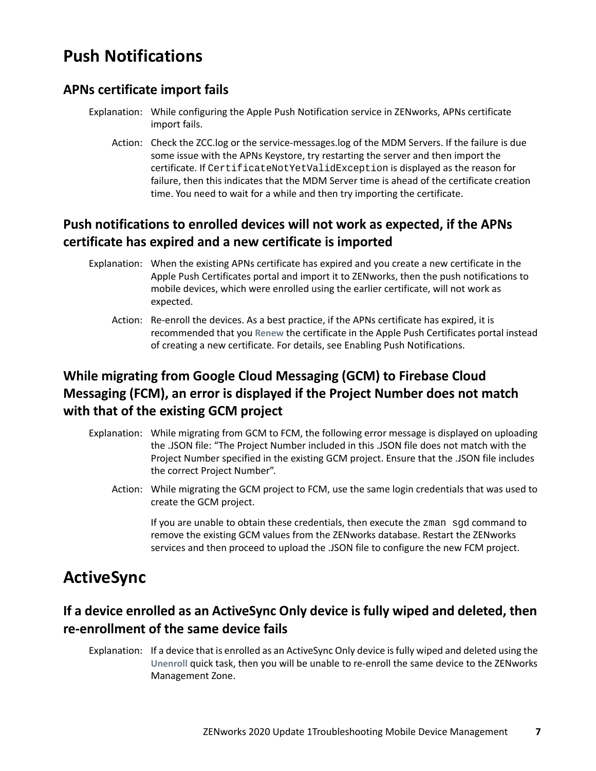# <span id="page-6-0"></span>**Push Notifications**

#### **APNs certificate import fails**

- Explanation: While configuring the Apple Push Notification service in ZENworks, APNs certificate import fails.
	- Action: Check the ZCC.log or the service-messages.log of the MDM Servers. If the failure is due some issue with the APNs Keystore, try restarting the server and then import the certificate. If CertificateNotYetValidException is displayed as the reason for failure, then this indicates that the MDM Server time is ahead of the certificate creation time. You need to wait for a while and then try importing the certificate.

## **Push notifications to enrolled devices will not work as expected, if the APNs certificate has expired and a new certificate is imported**

- Explanation: When the existing APNs certificate has expired and you create a new certificate in the Apple Push Certificates portal and import it to ZENworks, then the push notifications to mobile devices, which were enrolled using the earlier certificate, will not work as expected.
	- Action: Re-enroll the devices. As a best practice, if the APNs certificate has expired, it is recommended that you **Renew** the certificate in the Apple Push Certificates portal instead of creating a new certificate. For details, see Enabling Push Notifications.

## **While migrating from Google Cloud Messaging (GCM) to Firebase Cloud Messaging (FCM), an error is displayed if the Project Number does not match with that of the existing GCM project**

- Explanation: While migrating from GCM to FCM, the following error message is displayed on uploading the .JSON file: "The Project Number included in this .JSON file does not match with the Project Number specified in the existing GCM project. Ensure that the .JSON file includes the correct Project Number".
	- Action: While migrating the GCM project to FCM, use the same login credentials that was used to create the GCM project.

If you are unable to obtain these credentials, then execute the zman sgd command to remove the existing GCM values from the ZENworks database. Restart the ZENworks services and then proceed to upload the .JSON file to configure the new FCM project.

# <span id="page-6-1"></span>**ActiveSync**

## **If a device enrolled as an ActiveSync Only device is fully wiped and deleted, then re-enrollment of the same device fails**

Explanation: If a device that is enrolled as an ActiveSync Only device is fully wiped and deleted using the **Unenroll** quick task, then you will be unable to re-enroll the same device to the ZENworks Management Zone.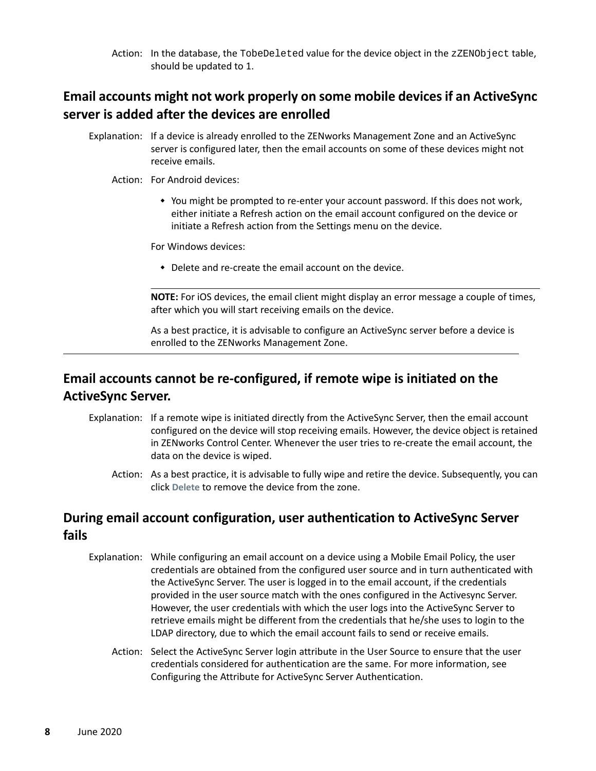Action: In the database, the TobeDeleted value for the device object in the zZENObject table, should be updated to 1.

#### **Email accounts might not work properly on some mobile devices if an ActiveSync server is added after the devices are enrolled**

Explanation: If a device is already enrolled to the ZENworks Management Zone and an ActiveSync server is configured later, then the email accounts on some of these devices might not receive emails.

#### Action: For Android devices:

 You might be prompted to re-enter your account password. If this does not work, either initiate a Refresh action on the email account configured on the device or initiate a Refresh action from the Settings menu on the device.

For Windows devices:

Delete and re-create the email account on the device.

**NOTE:** For iOS devices, the email client might display an error message a couple of times, after which you will start receiving emails on the device.

As a best practice, it is advisable to configure an ActiveSync server before a device is enrolled to the ZENworks Management Zone.

#### **Email accounts cannot be re-configured, if remote wipe is initiated on the ActiveSync Server.**

- Explanation: If a remote wipe is initiated directly from the ActiveSync Server, then the email account configured on the device will stop receiving emails. However, the device object is retained in ZENworks Control Center. Whenever the user tries to re-create the email account, the data on the device is wiped.
	- Action: As a best practice, it is advisable to fully wipe and retire the device. Subsequently, you can click **Delete** to remove the device from the zone.

#### **During email account configuration, user authentication to ActiveSync Server fails**

- Explanation: While configuring an email account on a device using a Mobile Email Policy, the user credentials are obtained from the configured user source and in turn authenticated with the ActiveSync Server. The user is logged in to the email account, if the credentials provided in the user source match with the ones configured in the Activesync Server. However, the user credentials with which the user logs into the ActiveSync Server to retrieve emails might be different from the credentials that he/she uses to login to the LDAP directory, due to which the email account fails to send or receive emails.
	- Action: Select the ActiveSync Server login attribute in the User Source to ensure that the user credentials considered for authentication are the same. For more information, see Configuring the Attribute for ActiveSync Server Authentication.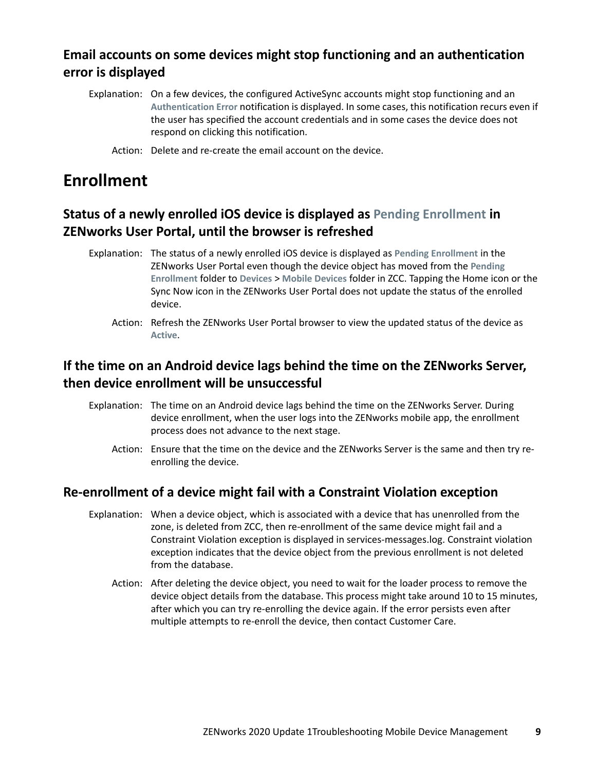## **Email accounts on some devices might stop functioning and an authentication error is displayed**

Explanation: On a few devices, the configured ActiveSync accounts might stop functioning and an **Authentication Error** notification is displayed. In some cases, this notification recurs even if the user has specified the account credentials and in some cases the device does not respond on clicking this notification.

Action: Delete and re-create the email account on the device.

# <span id="page-8-0"></span>**Enrollment**

## **Status of a newly enrolled iOS device is displayed as Pending Enrollment in ZENworks User Portal, until the browser is refreshed**

- Explanation: The status of a newly enrolled iOS device is displayed as **Pending Enrollment** in the ZENworks User Portal even though the device object has moved from the **Pending Enrollment** folder to **Devices** > **Mobile Devices** folder in ZCC. Tapping the Home icon or the Sync Now icon in the ZENworks User Portal does not update the status of the enrolled device.
	- Action: Refresh the ZENworks User Portal browser to view the updated status of the device as **Active**.

## **If the time on an Android device lags behind the time on the ZENworks Server, then device enrollment will be unsuccessful**

- Explanation: The time on an Android device lags behind the time on the ZENworks Server. During device enrollment, when the user logs into the ZENworks mobile app, the enrollment process does not advance to the next stage.
	- Action: Ensure that the time on the device and the ZENworks Server is the same and then try reenrolling the device.

#### **Re-enrollment of a device might fail with a Constraint Violation exception**

- Explanation: When a device object, which is associated with a device that has unenrolled from the zone, is deleted from ZCC, then re-enrollment of the same device might fail and a Constraint Violation exception is displayed in services-messages.log. Constraint violation exception indicates that the device object from the previous enrollment is not deleted from the database.
	- Action: After deleting the device object, you need to wait for the loader process to remove the device object details from the database. This process might take around 10 to 15 minutes, after which you can try re-enrolling the device again. If the error persists even after multiple attempts to re-enroll the device, then contact Customer Care.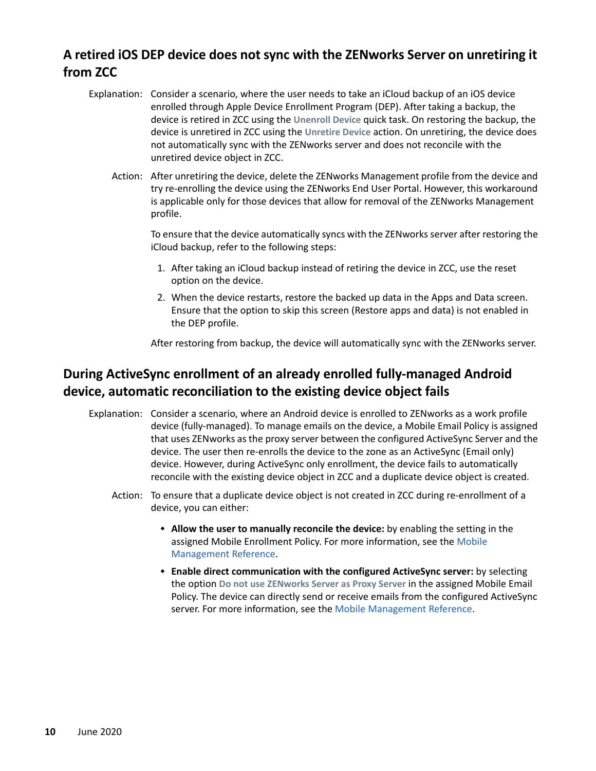## **A retired iOS DEP device does not sync with the ZENworks Server on unretiring it from ZCC**

- Explanation: Consider a scenario, where the user needs to take an iCloud backup of an iOS device enrolled through Apple Device Enrollment Program (DEP). After taking a backup, the device is retired in ZCC using the **Unenroll Device** quick task. On restoring the backup, the device is unretired in ZCC using the **Unretire Device** action. On unretiring, the device does not automatically sync with the ZENworks server and does not reconcile with the unretired device object in ZCC.
	- Action: After unretiring the device, delete the ZENworks Management profile from the device and try re-enrolling the device using the ZENworks End User Portal. However, this workaround is applicable only for those devices that allow for removal of the ZENworks Management profile.

To ensure that the device automatically syncs with the ZENworks server after restoring the iCloud backup, refer to the following steps:

- 1. After taking an iCloud backup instead of retiring the device in ZCC, use the reset option on the device.
- 2. When the device restarts, restore the backed up data in the Apps and Data screen. Ensure that the option to skip this screen (Restore apps and data) is not enabled in the DEP profile.

After restoring from backup, the device will automatically sync with the ZENworks server.

#### **During ActiveSync enrollment of an already enrolled fully-managed Android device, automatic reconciliation to the existing device object fails**

- Explanation: Consider a scenario, where an Android device is enrolled to ZENworks as a work profile device (fully-managed). To manage emails on the device, a Mobile Email Policy is assigned that uses ZENworks as the proxy server between the configured ActiveSync Server and the device. The user then re-enrolls the device to the zone as an ActiveSync (Email only) device. However, during ActiveSync only enrollment, the device fails to automatically reconcile with the existing device object in ZCC and a duplicate device object is created.
	- Action: To ensure that a duplicate device object is not created in ZCC during re-enrollment of a device, you can either:
		- **Allow the user to manually reconcile the device:** by enabling the setting in the assigned Mobile Enrollment Policy. For more information, see the [Mobile](https://www.novell.com/documentation/zenworks-2020-update-1/zen_mobile/data/t47m0uut26pg.html)  [Management Reference](https://www.novell.com/documentation/zenworks-2020-update-1/zen_mobile/data/t47m0uut26pg.html).
		- **Enable direct communication with the configured ActiveSync server:** by selecting the option **Do not use ZENworks Server as Proxy Server** in the assigned Mobile Email Policy. The device can directly send or receive emails from the configured ActiveSync server. For more information, see the [Mobile Management Reference](https://www.novell.com/documentation/zenworks-2020-update-1/zen_mobile/data/t47mbvq1rasv.html).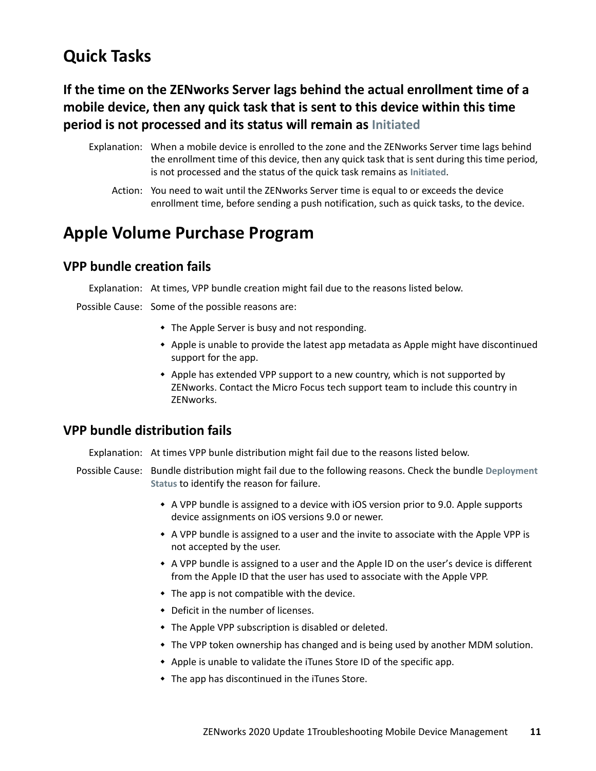# <span id="page-10-0"></span>**Quick Tasks**

## **If the time on the ZENworks Server lags behind the actual enrollment time of a mobile device, then any quick task that is sent to this device within this time period is not processed and its status will remain as Initiated**

- Explanation: When a mobile device is enrolled to the zone and the ZENworks Server time lags behind the enrollment time of this device, then any quick task that is sent during this time period, is not processed and the status of the quick task remains as **Initiated**.
	- Action: You need to wait until the ZENworks Server time is equal to or exceeds the device enrollment time, before sending a push notification, such as quick tasks, to the device.

# <span id="page-10-1"></span>**Apple Volume Purchase Program**

#### **VPP bundle creation fails**

Explanation: At times, VPP bundle creation might fail due to the reasons listed below.

Possible Cause: Some of the possible reasons are:

- The Apple Server is busy and not responding.
- Apple is unable to provide the latest app metadata as Apple might have discontinued support for the app.
- Apple has extended VPP support to a new country, which is not supported by ZENworks. Contact the Micro Focus tech support team to include this country in ZENworks.

#### **VPP bundle distribution fails**

Explanation: At times VPP bunle distribution might fail due to the reasons listed below.

- Possible Cause: Bundle distribution might fail due to the following reasons. Check the bundle **Deployment Status** to identify the reason for failure.
	- A VPP bundle is assigned to a device with iOS version prior to 9.0. Apple supports device assignments on iOS versions 9.0 or newer.
	- A VPP bundle is assigned to a user and the invite to associate with the Apple VPP is not accepted by the user.
	- A VPP bundle is assigned to a user and the Apple ID on the user's device is different from the Apple ID that the user has used to associate with the Apple VPP.
	- The app is not compatible with the device.
	- Deficit in the number of licenses.
	- The Apple VPP subscription is disabled or deleted.
	- The VPP token ownership has changed and is being used by another MDM solution.
	- Apple is unable to validate the iTunes Store ID of the specific app.
	- The app has discontinued in the iTunes Store.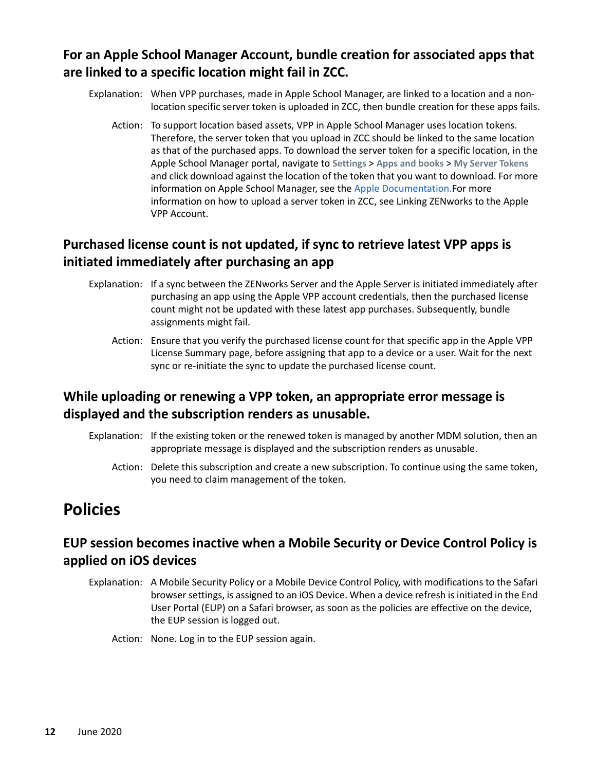#### **For an Apple School Manager Account, bundle creation for associated apps that are linked to a specific location might fail in ZCC.**

- Explanation: When VPP purchases, made in Apple School Manager, are linked to a location and a nonlocation specific server token is uploaded in ZCC, then bundle creation for these apps fails.
	- Action: To support location based assets, VPP in Apple School Manager uses location tokens. Therefore, the server token that you upload in ZCC should be linked to the same location as that of the purchased apps. To download the server token for a specific location, in the Apple School Manager portal, navigate to **Settings** > **Apps and books** > **My Server Tokens** and click download against the location of the token that you want to download. For more information on Apple School Manager, see the [Apple Documentation.F](https://developer.apple.com/library/archive/documentation/Miscellaneous/Reference/MobileDeviceManagementProtocolRef/5-Web_Service_Protocol_VPP/webservice.html#//apple_ref/doc/uid/TP40017387-CH8-SW23)or more information on how to upload a server token in ZCC, see Linking ZENworks to the Apple VPP Account.

## **Purchased license count is not updated, if sync to retrieve latest VPP apps is initiated immediately after purchasing an app**

- Explanation: If a sync between the ZENworks Server and the Apple Server is initiated immediately after purchasing an app using the Apple VPP account credentials, then the purchased license count might not be updated with these latest app purchases. Subsequently, bundle assignments might fail.
	- Action: Ensure that you verify the purchased license count for that specific app in the Apple VPP License Summary page, before assigning that app to a device or a user. Wait for the next sync or re-initiate the sync to update the purchased license count.

## **While uploading or renewing a VPP token, an appropriate error message is displayed and the subscription renders as unusable.**

- Explanation: If the existing token or the renewed token is managed by another MDM solution, then an appropriate message is displayed and the subscription renders as unusable.
	- Action: Delete this subscription and create a new subscription. To continue using the same token, you need to claim management of the token.

# <span id="page-11-0"></span>**Policies**

#### **EUP session becomes inactive when a Mobile Security or Device Control Policy is applied on iOS devices**

- Explanation: A Mobile Security Policy or a Mobile Device Control Policy, with modifications to the Safari browser settings, is assigned to an iOS Device. When a device refresh is initiated in the End User Portal (EUP) on a Safari browser, as soon as the policies are effective on the device, the EUP session is logged out.
	- Action: None. Log in to the EUP session again.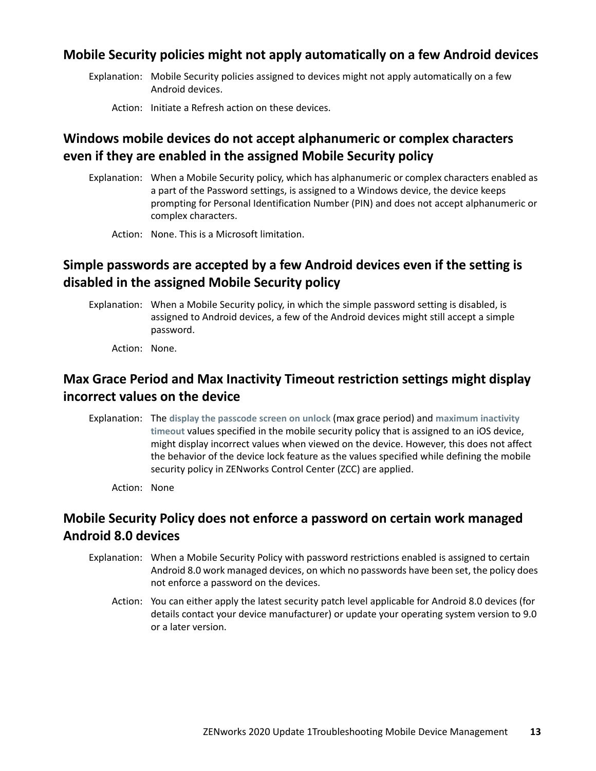#### **Mobile Security policies might not apply automatically on a few Android devices**

Explanation: Mobile Security policies assigned to devices might not apply automatically on a few Android devices.

Action: Initiate a Refresh action on these devices.

#### **Windows mobile devices do not accept alphanumeric or complex characters even if they are enabled in the assigned Mobile Security policy**

Explanation: When a Mobile Security policy, which has alphanumeric or complex characters enabled as a part of the Password settings, is assigned to a Windows device, the device keeps prompting for Personal Identification Number (PIN) and does not accept alphanumeric or complex characters.

Action: None. This is a Microsoft limitation.

## **Simple passwords are accepted by a few Android devices even if the setting is disabled in the assigned Mobile Security policy**

Explanation: When a Mobile Security policy, in which the simple password setting is disabled, is assigned to Android devices, a few of the Android devices might still accept a simple password.

Action: None.

#### **Max Grace Period and Max Inactivity Timeout restriction settings might display incorrect values on the device**

Explanation: The **display the passcode screen on unlock** (max grace period) and **maximum inactivity timeout** values specified in the mobile security policy that is assigned to an iOS device, might display incorrect values when viewed on the device. However, this does not affect the behavior of the device lock feature as the values specified while defining the mobile security policy in ZENworks Control Center (ZCC) are applied.

Action: None

#### **Mobile Security Policy does not enforce a password on certain work managed Android 8.0 devices**

- Explanation: When a Mobile Security Policy with password restrictions enabled is assigned to certain Android 8.0 work managed devices, on which no passwords have been set, the policy does not enforce a password on the devices.
	- Action: You can either apply the latest security patch level applicable for Android 8.0 devices (for details contact your device manufacturer) or update your operating system version to 9.0 or a later version.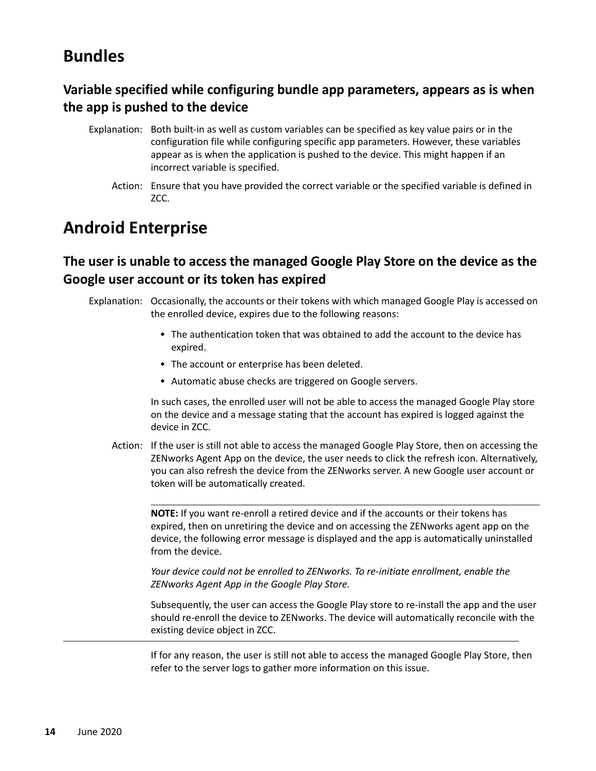# <span id="page-13-0"></span>**Bundles**

## **Variable specified while configuring bundle app parameters, appears as is when the app is pushed to the device**

- Explanation: Both built-in as well as custom variables can be specified as key value pairs or in the configuration file while configuring specific app parameters. However, these variables appear as is when the application is pushed to the device. This might happen if an incorrect variable is specified.
	- Action: Ensure that you have provided the correct variable or the specified variable is defined in ZCC.

# <span id="page-13-1"></span>**Android Enterprise**

#### **The user is unable to access the managed Google Play Store on the device as the Google user account or its token has expired**

Explanation: Occasionally, the accounts or their tokens with which managed Google Play is accessed on the enrolled device, expires due to the following reasons:

- The authentication token that was obtained to add the account to the device has expired.
- The account or enterprise has been deleted.
- Automatic abuse checks are triggered on Google servers.

In such cases, the enrolled user will not be able to access the managed Google Play store on the device and a message stating that the account has expired is logged against the device in ZCC.

Action: If the user is still not able to access the managed Google Play Store, then on accessing the ZENworks Agent App on the device, the user needs to click the refresh icon. Alternatively, you can also refresh the device from the ZENworks server. A new Google user account or token will be automatically created.

**NOTE:** If you want re-enroll a retired device and if the accounts or their tokens has expired, then on unretiring the device and on accessing the ZENworks agent app on the device, the following error message is displayed and the app is automatically uninstalled from the device.

*Your device could not be enrolled to ZENworks. To re-initiate enrollment, enable the ZENworks Agent App in the Google Play Store.*

Subsequently, the user can access the Google Play store to re-install the app and the user should re-enroll the device to ZENworks. The device will automatically reconcile with the existing device object in ZCC.

If for any reason, the user is still not able to access the managed Google Play Store, then refer to the server logs to gather more information on this issue.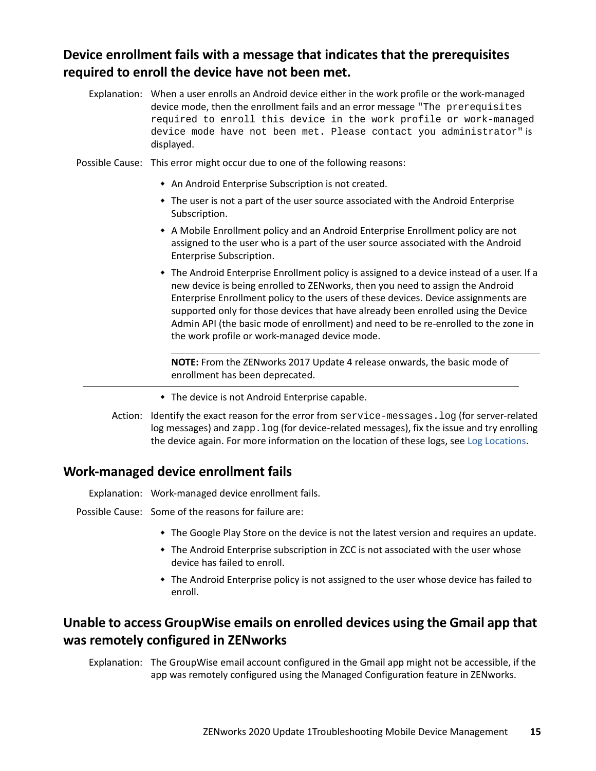#### **Device enrollment fails with a message that indicates that the prerequisites required to enroll the device have not been met.**

- Explanation: When a user enrolls an Android device either in the work profile or the work-managed device mode, then the enrollment fails and an error message "The prerequisites required to enroll this device in the work profile or work-managed device mode have not been met. Please contact you administrator" is displayed.
- Possible Cause: This error might occur due to one of the following reasons:
	- An Android Enterprise Subscription is not created.
	- The user is not a part of the user source associated with the Android Enterprise Subscription.
	- A Mobile Enrollment policy and an Android Enterprise Enrollment policy are not assigned to the user who is a part of the user source associated with the Android Enterprise Subscription.
	- The Android Enterprise Enrollment policy is assigned to a device instead of a user. If a new device is being enrolled to ZENworks, then you need to assign the Android Enterprise Enrollment policy to the users of these devices. Device assignments are supported only for those devices that have already been enrolled using the Device Admin API (the basic mode of enrollment) and need to be re-enrolled to the zone in the work profile or work-managed device mode.

**NOTE:** From the ZENworks 2017 Update 4 release onwards, the basic mode of enrollment has been deprecated.

- The device is not Android Enterprise capable.
- Action: Identify the exact reason for the error from service-messages.log (for server-related log messages) and zapp.  $log$  (for device-related messages), fix the issue and try enrolling the device again. For more information on the location of these logs, see [Log Locations.](#page-0-0)

#### **Work-managed device enrollment fails**

Explanation: Work-managed device enrollment fails.

Possible Cause: Some of the reasons for failure are:

- The Google Play Store on the device is not the latest version and requires an update.
- The Android Enterprise subscription in ZCC is not associated with the user whose device has failed to enroll.
- The Android Enterprise policy is not assigned to the user whose device has failed to enroll.

#### **Unable to access GroupWise emails on enrolled devices using the Gmail app that was remotely configured in ZENworks**

Explanation: The GroupWise email account configured in the Gmail app might not be accessible, if the app was remotely configured using the Managed Configuration feature in ZENworks.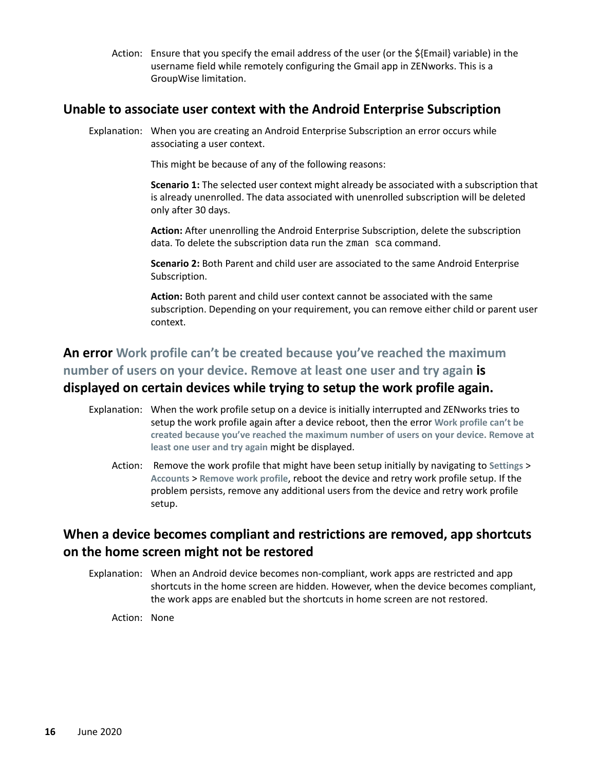Action: Ensure that you specify the email address of the user (or the \${Email} variable) in the username field while remotely configuring the Gmail app in ZENworks. This is a GroupWise limitation.

#### **Unable to associate user context with the Android Enterprise Subscription**

Explanation: When you are creating an Android Enterprise Subscription an error occurs while associating a user context.

This might be because of any of the following reasons:

**Scenario 1:** The selected user context might already be associated with a subscription that is already unenrolled. The data associated with unenrolled subscription will be deleted only after 30 days.

**Action:** After unenrolling the Android Enterprise Subscription, delete the subscription data. To delete the subscription data run the zman sca command.

**Scenario 2:** Both Parent and child user are associated to the same Android Enterprise Subscription.

**Action:** Both parent and child user context cannot be associated with the same subscription. Depending on your requirement, you can remove either child or parent user context.

## **An error Work profile can't be created because you've reached the maximum number of users on your device. Remove at least one user and try again is displayed on certain devices while trying to setup the work profile again.**

- Explanation: When the work profile setup on a device is initially interrupted and ZENworks tries to setup the work profile again after a device reboot, then the error **Work profile can't be created because you've reached the maximum number of users on your device. Remove at least one user and try again** might be displayed.
	- Action: Remove the work profile that might have been setup initially by navigating to **Settings** > **Accounts** > **Remove work profile**, reboot the device and retry work profile setup. If the problem persists, remove any additional users from the device and retry work profile setup.

#### **When a device becomes compliant and restrictions are removed, app shortcuts on the home screen might not be restored**

Explanation: When an Android device becomes non-compliant, work apps are restricted and app shortcuts in the home screen are hidden. However, when the device becomes compliant, the work apps are enabled but the shortcuts in home screen are not restored.

Action: None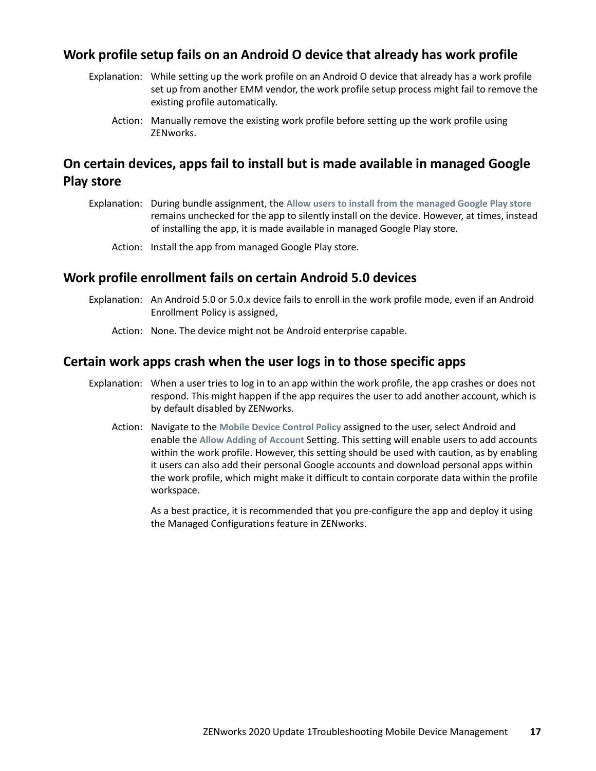#### **Work profile setup fails on an Android O device that already has work profile**

- Explanation: While setting up the work profile on an Android O device that already has a work profile set up from another EMM vendor, the work profile setup process might fail to remove the existing profile automatically.
	- Action: Manually remove the existing work profile before setting up the work profile using ZENworks.

#### **On certain devices, apps fail to install but is made available in managed Google Play store**

- Explanation: During bundle assignment, the **Allow users to install from the managed Google Play store** remains unchecked for the app to silently install on the device. However, at times, instead of installing the app, it is made available in managed Google Play store.
	- Action: Install the app from managed Google Play store.

#### **Work profile enrollment fails on certain Android 5.0 devices**

- Explanation: An Android 5.0 or 5.0.x device fails to enroll in the work profile mode, even if an Android Enrollment Policy is assigned,
	- Action: None. The device might not be Android enterprise capable.

#### **Certain work apps crash when the user logs in to those specific apps**

- Explanation: When a user tries to log in to an app within the work profile, the app crashes or does not respond. This might happen if the app requires the user to add another account, which is by default disabled by ZENworks.
	- Action: Navigate to the **Mobile Device Control Policy** assigned to the user, select Android and enable the **Allow Adding of Account** Setting. This setting will enable users to add accounts within the work profile. However, this setting should be used with caution, as by enabling it users can also add their personal Google accounts and download personal apps within the work profile, which might make it difficult to contain corporate data within the profile workspace.

As a best practice, it is recommended that you pre-configure the app and deploy it using the Managed Configurations feature in ZENworks.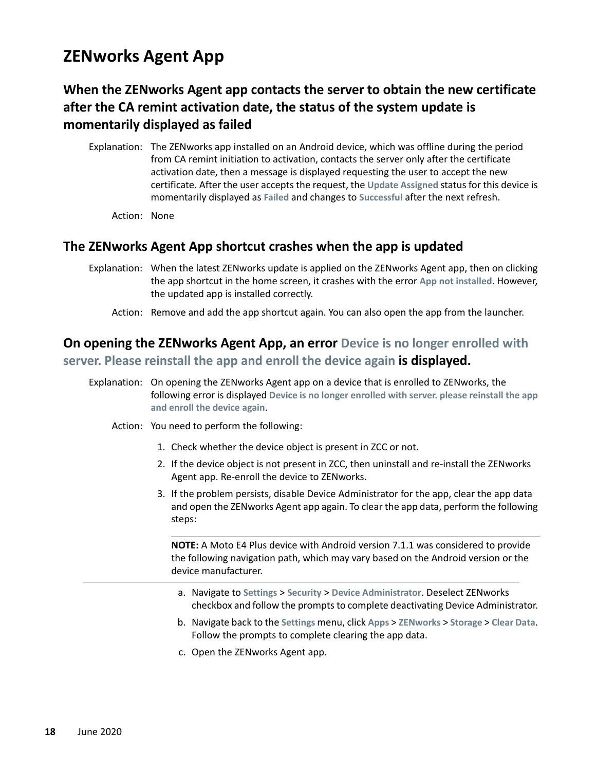# <span id="page-17-0"></span>**ZENworks Agent App**

## **When the ZENworks Agent app contacts the server to obtain the new certificate after the CA remint activation date, the status of the system update is momentarily displayed as failed**

- Explanation: The ZENworks app installed on an Android device, which was offline during the period from CA remint initiation to activation, contacts the server only after the certificate activation date, then a message is displayed requesting the user to accept the new certificate. After the user accepts the request, the **Update Assigned** status for this device is momentarily displayed as **Failed** and changes to **Successful** after the next refresh.
	- Action: None

#### **The ZENworks Agent App shortcut crashes when the app is updated**

Explanation: When the latest ZENworks update is applied on the ZENworks Agent app, then on clicking the app shortcut in the home screen, it crashes with the error **App not installed**. However, the updated app is installed correctly.

Action: Remove and add the app shortcut again. You can also open the app from the launcher.

## **On opening the ZENworks Agent App, an error Device is no longer enrolled with server. Please reinstall the app and enroll the device again is displayed.**

- Explanation: On opening the ZENworks Agent app on a device that is enrolled to ZENworks, the following error is displayed **Device is no longer enrolled with server. please reinstall the app and enroll the device again**.
	- Action: You need to perform the following:
		- 1. Check whether the device object is present in ZCC or not.
		- 2. If the device object is not present in ZCC, then uninstall and re-install the ZENworks Agent app. Re-enroll the device to ZENworks.
		- 3. If the problem persists, disable Device Administrator for the app, clear the app data and open the ZENworks Agent app again. To clear the app data, perform the following steps:

**NOTE:** A Moto E4 Plus device with Android version 7.1.1 was considered to provide the following navigation path, which may vary based on the Android version or the device manufacturer.

- a. Navigate to **Settings** > **Security** > **Device Administrator**. Deselect ZENworks checkbox and follow the prompts to complete deactivating Device Administrator.
- b. Navigate back to the **Settings** menu, click **Apps** > **ZENworks** > **Storage** > **Clear Data**. Follow the prompts to complete clearing the app data.
- c. Open the ZENworks Agent app.